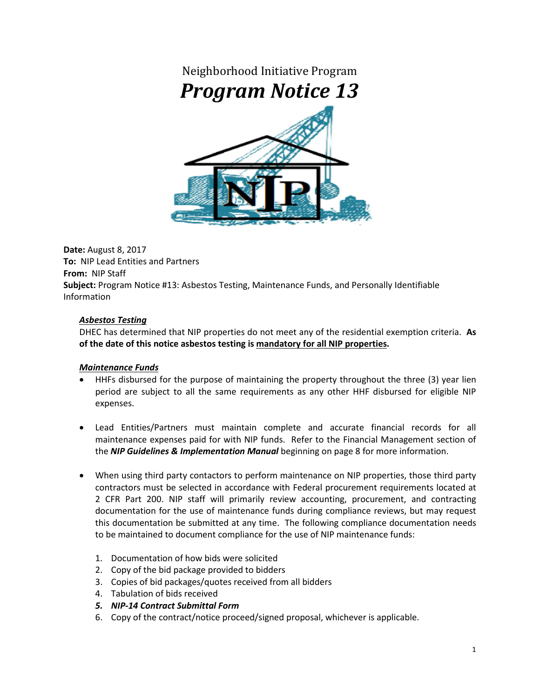## Neighborhood Initiative Program *Program Notice 13*



**Date:** August 8, 2017 **To:** NIP Lead Entities and Partners **From:** NIP Staff **Subject:** Program Notice #13: Asbestos Testing, Maintenance Funds, and Personally Identifiable Information

## *Asbestos Testing*

DHEC has determined that NIP properties do not meet any of the residential exemption criteria. **As of the date of this notice asbestos testing is mandatory for all NIP properties.** 

## *Maintenance Funds*

- HHFs disbursed for the purpose of maintaining the property throughout the three (3) year lien period are subject to all the same requirements as any other HHF disbursed for eligible NIP expenses.
- Lead Entities/Partners must maintain complete and accurate financial records for all maintenance expenses paid for with NIP funds. Refer to the Financial Management section of the *NIP Guidelines & Implementation Manual* beginning on page 8 for more information.
- When using third party contactors to perform maintenance on NIP properties, those third party contractors must be selected in accordance with Federal procurement requirements located at 2 CFR Part 200. NIP staff will primarily review accounting, procurement, and contracting documentation for the use of maintenance funds during compliance reviews, but may request this documentation be submitted at any time. The following compliance documentation needs to be maintained to document compliance for the use of NIP maintenance funds:
	- 1. Documentation of how bids were solicited
	- 2. Copy of the bid package provided to bidders
	- 3. Copies of bid packages/quotes received from all bidders
	- 4. Tabulation of bids received
	- *5. NIP-14 Contract Submittal Form*
	- 6. Copy of the contract/notice proceed/signed proposal, whichever is applicable.